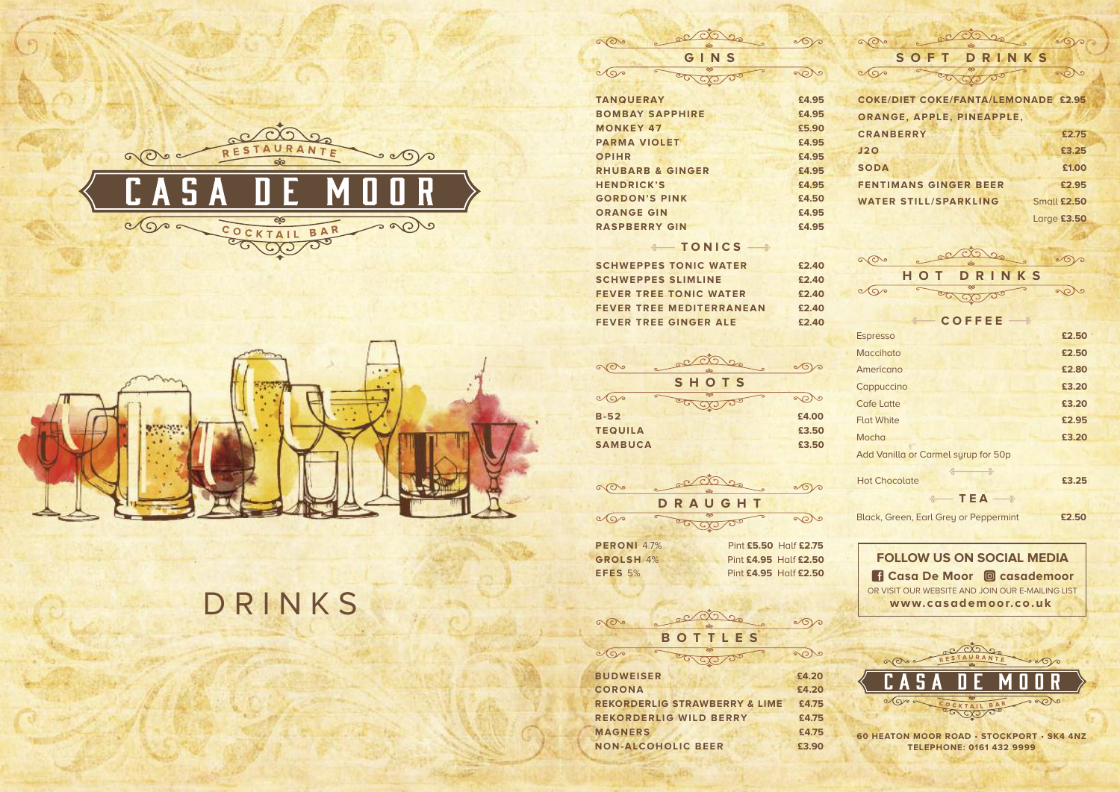



# **D R I N K S**

**60 HEATON MOOR ROAD • STOCKPORT • SK4 4NZ TELEPHONE: 0161 432 9999**

**FOLLOW US ON SOCIAL MEDIA** OR VISIT OUR WEBSITE AND JOIN OUR E-MAILING LIST **www. casademoor. co.uk Casa De Moor casademoor**



| SOFT<br>DRINKS                             |             |
|--------------------------------------------|-------------|
| ತಿ                                         |             |
| <b>COKE/DIET COKE/FANTA/LEMONADE £2.95</b> |             |
| ORANGE, APPLE, PINEAPPLE,                  |             |
| <b>CRANBERRY</b>                           | £2.75       |
| J2O                                        | £3.25       |
| <b>SODA</b>                                | £1.00       |
| <b>FENTIMANS GINGER BEER</b>               | £2.95       |
| <b>WATER STILL/SPARKLING</b>               | Small £2.50 |
|                                            | Large £3.50 |

| GINS                        |       |  |
|-----------------------------|-------|--|
| ತ್<br>G                     |       |  |
| <b>TANQUERAY</b>            | £4.95 |  |
| <b>BOMBAY SAPPHIRE</b>      | £4.95 |  |
| <b>MONKEY 47</b>            | £5.90 |  |
| <b>PARMA VIOLET</b>         | £4.95 |  |
| <b>OPIHR</b>                | £4.95 |  |
| <b>RHUBARB &amp; GINGER</b> | £4.95 |  |
| <b>HENDRICK'S</b>           | £4.95 |  |
| <b>GORDON'S PINK</b>        | £4.50 |  |
| <b>ORANGE GIN</b>           | £4.95 |  |
| <b>RASPBERRY GIN</b>        | £4.95 |  |

LOOD

 $\infty$ 

 $\infty$ 

### $\leftarrow$  **TONICS**

| $\odot$      | codes        |  |
|--------------|--------------|--|
| $\mathbf{C}$ | HOT DRINKS   |  |
|              | $\sqrt{200}$ |  |

|                | ්ල    |       |
|----------------|-------|-------|
|                | SHOTS |       |
|                |       | ູດ    |
| $B-52$         |       | £4.00 |
| <b>TEQUILA</b> |       | £3.50 |
| <b>SAMBUCA</b> |       | £3.50 |
|                |       |       |

| <b>PERONI</b> 4.7% |                       | Pint £5.50 Half £2.75 |
|--------------------|-----------------------|-----------------------|
| GROLSH 4%          | Pint £4.95 Half £2.50 |                       |
| EFES 5%            | Pint £4.95 Half £2.50 |                       |



| $\cdot$ COFFEE $\rightarrow$        |       |
|-------------------------------------|-------|
| <b>Espresso</b>                     | £2.50 |
| <b>Maccihato</b>                    | £2.50 |
| Americano                           | £2.80 |
| Cappuccino                          | £3.20 |
| Cafe Latte                          | £3.20 |
| <b>Flat White</b>                   | £2.95 |
| Mocha                               | £3.20 |
| Add Vanilla or Carmel syrup for 50p |       |
| <u>.</u><br><b>Hot Chocolate</b>    | £3.25 |
| $\epsilon$ TEA $\rightarrow$        |       |

| ഌ                                        |       |
|------------------------------------------|-------|
| <b>BOTTLES</b>                           |       |
|                                          |       |
| <b>BUDWEISER</b>                         | £4.20 |
| <b>CORONA</b>                            | £4.20 |
| <b>REKORDERLIG STRAWBERRY &amp; LIME</b> | £4.75 |
| <b>REKORDERLIG WILD BERRY</b>            | £4.75 |
| <b>MAGNERS</b>                           | £4.75 |
| <b>NON-ALCOHOLIC BEER</b>                | £3.90 |

Black, Green, Earl Grey or Peppermint **£2.50**

| <b>SCHWEPPES TONIC WATER</b>    | £2.40 |
|---------------------------------|-------|
| <b>SCHWEPPES SLIMLINE</b>       | £2.40 |
| <b>FEVER TREE TONIC WATER</b>   | £2.40 |
| <b>FEVER TREE MEDITERRANEAN</b> | £2.40 |
| <b>FEVER TREE GINGER ALE</b>    | £2.40 |